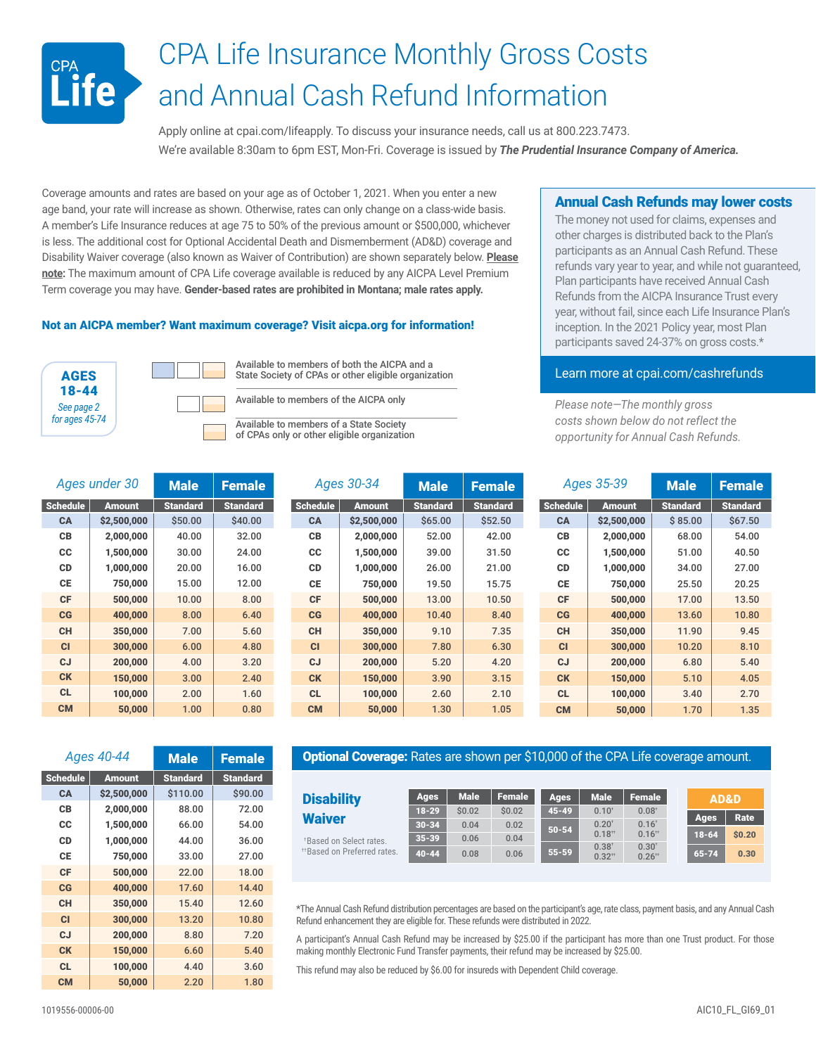# CPA Life Insurance Monthly Gross Costs **CPA**<br>Life and Annual Cash Refund Information

Apply online at [cpai.com/lifeapply](http://cpai.com/lifeapply). To discuss your insurance needs, call us at 800.223.7473. We're available 8:30am to 6pm EST, Mon-Fri. Coverage is issued by *The Prudential Insurance Company of America.*

Coverage amounts and rates are based on your age as of October 1, 2021. When you enter a new age band, your rate will increase as shown. Otherwise, rates can only change on a class-wide basis. A member's Life Insurance reduces at age 75 to 50% of the previous amount or \$500,000, whichever is less. The additional cost for Optional Accidental Death and Dismemberment (AD&D) coverage and Disability Waiver coverage (also known as Waiver of Contribution) are shown separately below. **Please note:** The maximum amount of CPA Life coverage available is reduced by any AICPA Level Premium Term coverage you may have. **Gender-based rates are prohibited in Montana; male rates apply.**

#### Not an AICPA member? Want maximum coverage? Visit [aicpa.org](http://aicpa.org) for information!





*Ages under 30* Male Female Schedule | Amount | Standard | Standard  $CA$   $$2,500,000$   $$50.00$   $$40.00$ CB 2,000,000 40.00 32.00  $CC$  1,500,000 30.00 24.00 CD 1,000,000 20.00 16.00 CE 750,000 15.00 12.00 CF | 500,000 | 10.00 | 8.00 CG 400,000 8.00 6.40 CH 350,000 7.00 5.60 CI 300,000 6.00 4.80 CJ 200,000 4.00 3.20 **CK** | 150,000 | 3.00 | 2.40 CL 100,000 2.00 1.60 CM 50,000 1.00 0.80

Available to members of both the AICPA and a State Society of CPAs or other eligible organization

> Ages 30-34  $Schedule$  Amount  $CA$  \$2,500,00

Available to members of the AICPA only

Available to members of a State Society of CPAs only or other eligible organization

### Annual Cash Refunds may lower costs

The money not used for claims, expenses and other charges is distributed back to the Plan's participants as an Annual Cash Refund. These refunds vary year to year, and while not guaranteed, Plan participants have received Annual Cash Refunds from the AICPA Insurance Trust every year, without fail, since each Life Insurance Plan's inception. In the 2021 Policy year, most Plan participants saved 24-37% on gross costs.\*

## Learn more at [cpai.com/cashrefunds](http://cpai.com/cashrefunds)

*Please note—The monthly gross costs shown below do not reflect the opportunity for Annual Cash Refunds.*

| Ages 30-34  |               | <b>Male</b>     | <b>Female</b>   | Ages 35-39      |               | <b>Male</b>     | <b>Female</b>   |
|-------------|---------------|-----------------|-----------------|-----------------|---------------|-----------------|-----------------|
| hedule      | <b>Amount</b> | <b>Standard</b> | <b>Standard</b> | <b>Schedule</b> | <b>Amount</b> | <b>Standard</b> | <b>Standard</b> |
| <b>CA</b>   | \$2,500,000   | \$65.00         | \$52.50         | <b>CA</b>       | \$2,500,000   | \$85.00         | \$67.50         |
| CВ          | 2,000,000     | 52.00           | 42.00           | СB              | 2,000,000     | 68.00           | 54.00           |
| <b>CC</b>   | 1,500,000     | 39.00           | 31.50           | <b>CC</b>       | 1,500,000     | 51.00           | 40.50           |
| <b>CD</b>   | 1,000,000     | 26.00           | 21.00           | <b>CD</b>       | 1,000,000     | 34.00           | 27.00           |
| <b>CE</b>   | 750,000       | 19.50           | 15.75           | СE              | 750,000       | 25.50           | 20.25           |
| <b>CF</b>   | 500,000       | 13.00           | 10.50           | <b>CF</b>       | 500,000       | 17.00           | 13.50           |
| $_{\rm CG}$ | 400,000       | 10.40           | 8.40            | $_{\rm CG}$     | 400,000       | 13.60           | 10.80           |
| <b>CH</b>   | 350,000       | 9.10            | 7.35            | <b>CH</b>       | 350,000       | 11.90           | 9.45            |
| <b>CI</b>   | 300,000       | 7.80            | 6.30            | <b>CI</b>       | 300,000       | 10.20           | 8.10            |
| cJ          | 200,000       | 5.20            | 4.20            | <b>CJ</b>       | 200,000       | 6.80            | 5.40            |
| <b>CK</b>   | 150,000       | 3.90            | 3.15            | <b>CK</b>       | 150,000       | 5.10            | 4.05            |
| <b>CL</b>   | 100,000       | 2.60            | 2.10            | <b>CL</b>       | 100,000       | 3.40            | 2.70            |
| <b>CM</b>   | 50,000        | 1.30            | 1.05            | <b>CM</b>       | 50,000        | 1.70            | 1.35            |

|                 | Ages 40-44    | <b>Male</b>     | <b>Female</b>   |  |  |
|-----------------|---------------|-----------------|-----------------|--|--|
| <b>Schedule</b> | <b>Amount</b> | <b>Standard</b> | <b>Standard</b> |  |  |
| CA              | \$2,500,000   | \$110.00        | \$90.00         |  |  |
| СB              | 2,000,000     | 88.00           | 72.00           |  |  |
| <b>CC</b>       | 1,500,000     | 66.00           | 54.00           |  |  |
| <b>CD</b>       | 1,000,000     | 44.00           | 36.00           |  |  |
| СE              | 750,000       | 33.00           | 27.00           |  |  |
| <b>CF</b>       | 500,000       | 22.00           | 18.00           |  |  |
| $_{\rm{CG}}$    | 400,000       | 17.60           | 14.40           |  |  |
| <b>CH</b>       | 350,000       | 15.40           | 12.60           |  |  |
| C1              | 300,000       | 13.20           | 10.80           |  |  |
| $c_{J}$         | 200,000       | 8.80            | 7.20            |  |  |
| <b>CK</b>       | 150,000       | 6.60            | 5.40            |  |  |
| <b>CL</b>       | 100,000       | 4.40            | 3.60            |  |  |
| <b>CM</b>       | 50,000        | 2.20            | 1.80            |  |  |

#### **Optional Coverage:** Rates are shown per \$10,000 of the CPA Life coverage amount.

| <b>Disability</b>                       | <b>Ages</b> | <b>Male</b> | <b>Female</b> | <b>Ages</b> | <b>Male</b>                   | Female                             | AD&D      |        |
|-----------------------------------------|-------------|-------------|---------------|-------------|-------------------------------|------------------------------------|-----------|--------|
| <b>Waiver</b>                           | $18 - 29$   | \$0.02      | \$0.02        | $45 - 49$   | $0.10^{+}$                    | $0.08+$                            | Ages      | Rate   |
|                                         | $30 - 34$   | 0.04        | 0.02          | $50 - 54$   | $0.20^{t}$                    | $0.16^{+}$                         |           |        |
| *Based on Select rates.                 | $35 - 39$   | 0.06        | 0.04          |             | $0.18$ <sup>**</sup>          | $0.16$ <sup>**</sup>               | $18 - 64$ | \$0.20 |
| <sup>**</sup> Based on Preferred rates. | $40 - 44$   | 0.08        | 0.06          | $55 - 59$   | $0.38^{\circ}$<br>$0.32^{+1}$ | $0.30^{t}$<br>$0.26$ <sup>**</sup> | $65 - 74$ | 0.30   |

\*The Annual Cash Refund distribution percentages are based on the participant's age, rate class, payment basis, and any Annual Cash Refund enhancement they are eligible for. These refunds were distributed in 2022.

A participant's Annual Cash Refund may be increased by \$25.00 if the participant has more than one Trust product. For those making monthly Electronic Fund Transfer payments, their refund may be increased by \$25.00.

This refund may also be reduced by \$6.00 for insureds with Dependent Child coverage.